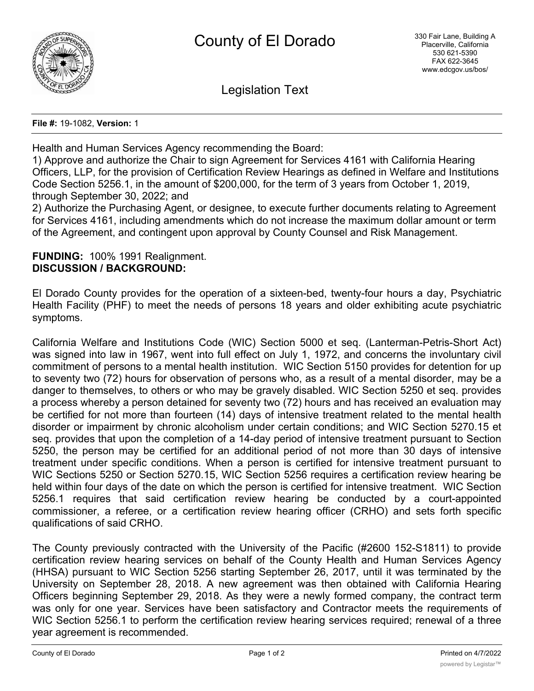

Legislation Text

**File #:** 19-1082, **Version:** 1

Health and Human Services Agency recommending the Board:

1) Approve and authorize the Chair to sign Agreement for Services 4161 with California Hearing Officers, LLP, for the provision of Certification Review Hearings as defined in Welfare and Institutions Code Section 5256.1, in the amount of \$200,000, for the term of 3 years from October 1, 2019, through September 30, 2022; and

2) Authorize the Purchasing Agent, or designee, to execute further documents relating to Agreement for Services 4161, including amendments which do not increase the maximum dollar amount or term of the Agreement, and contingent upon approval by County Counsel and Risk Management.

## **FUNDING:** 100% 1991 Realignment. **DISCUSSION / BACKGROUND:**

El Dorado County provides for the operation of a sixteen-bed, twenty-four hours a day, Psychiatric Health Facility (PHF) to meet the needs of persons 18 years and older exhibiting acute psychiatric symptoms.

California Welfare and Institutions Code (WIC) Section 5000 et seq. (Lanterman-Petris-Short Act) was signed into law in 1967, went into full effect on July 1, 1972, and concerns the involuntary civil commitment of persons to a mental health institution. WIC Section 5150 provides for detention for up to seventy two (72) hours for observation of persons who, as a result of a mental disorder, may be a danger to themselves, to others or who may be gravely disabled. WIC Section 5250 et seq. provides a process whereby a person detained for seventy two (72) hours and has received an evaluation may be certified for not more than fourteen (14) days of intensive treatment related to the mental health disorder or impairment by chronic alcoholism under certain conditions; and WIC Section 5270.15 et seq. provides that upon the completion of a 14-day period of intensive treatment pursuant to Section 5250, the person may be certified for an additional period of not more than 30 days of intensive treatment under specific conditions. When a person is certified for intensive treatment pursuant to WIC Sections 5250 or Section 5270.15, WIC Section 5256 requires a certification review hearing be held within four days of the date on which the person is certified for intensive treatment. WIC Section 5256.1 requires that said certification review hearing be conducted by a court-appointed commissioner, a referee, or a certification review hearing officer (CRHO) and sets forth specific qualifications of said CRHO.

The County previously contracted with the University of the Pacific (#2600 152-S1811) to provide certification review hearing services on behalf of the County Health and Human Services Agency (HHSA) pursuant to WIC Section 5256 starting September 26, 2017, until it was terminated by the University on September 28, 2018. A new agreement was then obtained with California Hearing Officers beginning September 29, 2018. As they were a newly formed company, the contract term was only for one year. Services have been satisfactory and Contractor meets the requirements of WIC Section 5256.1 to perform the certification review hearing services required; renewal of a three year agreement is recommended.